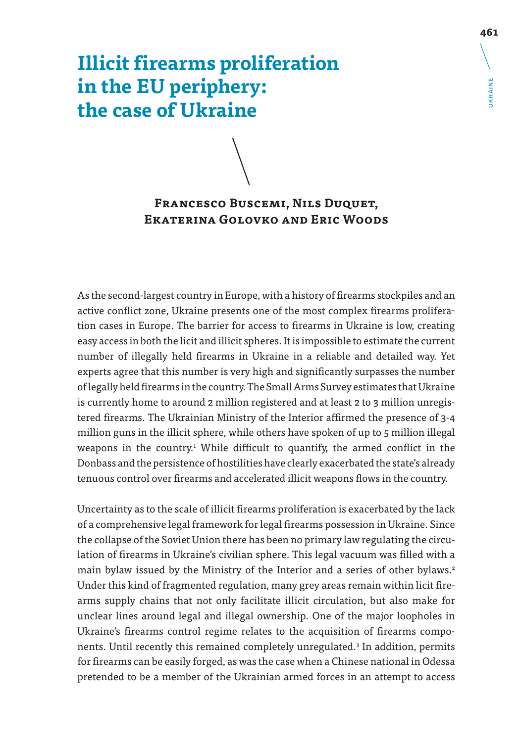# **Illicit firearms proliferation in the EU periphery: the case of Ukraine**

# **Francesco Buscemi, Nils Duquet, Ekaterina Golovko and Eric Woods**

As the second-largest country in Europe, with a history of firearms stockpiles and an active conflict zone, Ukraine presents one of the most complex firearms proliferation cases in Europe. The barrier for access to firearms in Ukraine is low, creating easy access in both the licit and illicit spheres. It is impossible to estimate the current number of illegally held firearms in Ukraine in a reliable and detailed way. Yet experts agree that this number is very high and significantly surpasses the number of legally held firearms in the country. The Small Arms Survey estimates that Ukraine is currently home to around 2 million registered and at least 2 to 3 million unregistered firearms. The Ukrainian Ministry of the Interior affirmed the presence of 3-4 million guns in the illicit sphere, while others have spoken of up to 5 million illegal weapons in the country.<sup>1</sup> While difficult to quantify, the armed conflict in the Donbass and the persistence of hostilities have clearly exacerbated the state's already tenuous control over firearms and accelerated illicit weapons flows in the country.

Uncertainty as to the scale of illicit firearms proliferation is exacerbated by the lack of a comprehensive legal framework for legal firearms possession in Ukraine. Since the collapse of the Soviet Union there has been no primary law regulating the circulation of firearms in Ukraine's civilian sphere. This legal vacuum was filled with a main bylaw issued by the Ministry of the Interior and a series of other bylaws.<sup>2</sup> Under this kind of fragmented regulation, many grey areas remain within licit firearms supply chains that not only facilitate illicit circulation, but also make for unclear lines around legal and illegal ownership. One of the major loopholes in Ukraine's firearms control regime relates to the acquisition of firearms components. Until recently this remained completely unregulated.3 In addition, permits for firearms can be easily forged, as was the case when a Chinese national in Odessa pretended to be a member of the Ukrainian armed forces in an attempt to access UKRAINE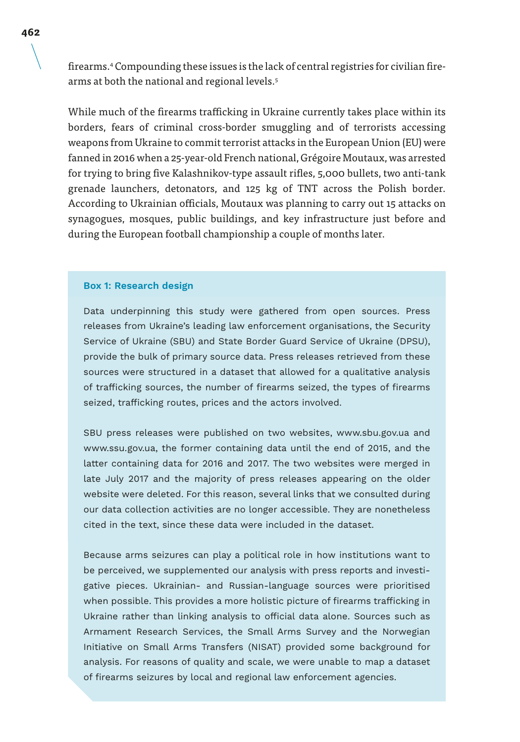firearms.4 Compounding these issues is the lack of central registries for civilian firearms at both the national and regional levels.5

While much of the firearms trafficking in Ukraine currently takes place within its borders, fears of criminal cross-border smuggling and of terrorists accessing weapons from Ukraine to commit terrorist attacks in the European Union (EU) were fanned in 2016 when a 25-year-old French national, Grégoire Moutaux, was arrested for trying to bring five Kalashnikov-type assault rifles, 5,000 bullets, two anti-tank grenade launchers, detonators, and 125 kg of TNT across the Polish border. According to Ukrainian officials, Moutaux was planning to carry out 15 attacks on synagogues, mosques, public buildings, and key infrastructure just before and during the European football championship a couple of months later.

#### **Box 1: Research design**

Data underpinning this study were gathered from open sources. Press releases from Ukraine's leading law enforcement organisations, the Security Service of Ukraine (SBU) and State Border Guard Service of Ukraine (DPSU), provide the bulk of primary source data. Press releases retrieved from these sources were structured in a dataset that allowed for a qualitative analysis of trafficking sources, the number of firearms seized, the types of firearms seized, trafficking routes, prices and the actors involved.

SBU press releases were published on two websites, www.sbu.gov.ua and www.ssu.gov.ua, the former containing data until the end of 2015, and the latter containing data for 2016 and 2017. The two websites were merged in late July 2017 and the majority of press releases appearing on the older website were deleted. For this reason, several links that we consulted during our data collection activities are no longer accessible. They are nonetheless cited in the text, since these data were included in the dataset.

Because arms seizures can play a political role in how institutions want to be perceived, we supplemented our analysis with press reports and investigative pieces. Ukrainian- and Russian-language sources were prioritised when possible. This provides a more holistic picture of firearms trafficking in Ukraine rather than linking analysis to official data alone. Sources such as Armament Research Services, the Small Arms Survey and the Norwegian Initiative on Small Arms Transfers (NISAT) provided some background for analysis. For reasons of quality and scale, we were unable to map a dataset of firearms seizures by local and regional law enforcement agencies.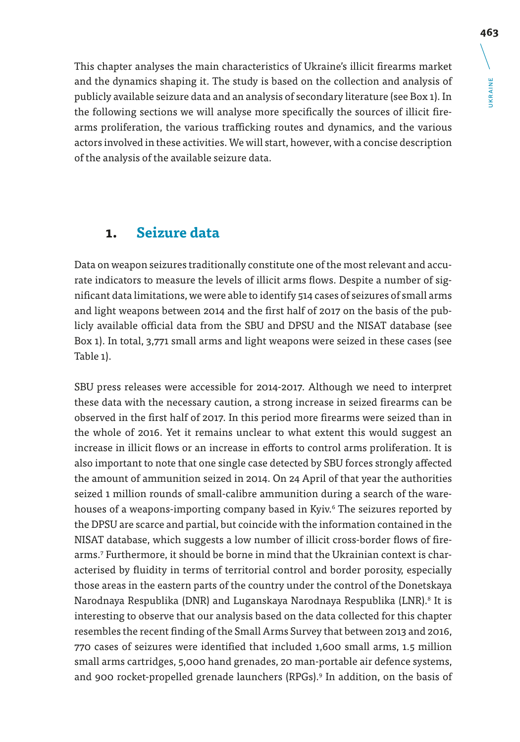This chapter analyses the main characteristics of Ukraine's illicit firearms market and the dynamics shaping it. The study is based on the collection and analysis of publicly available seizure data and an analysis of secondary literature (see Box 1). In the following sections we will analyse more specifically the sources of illicit firearms proliferation, the various trafficking routes and dynamics, and the various actors involved in these activities. We will start, however, with a concise description of the analysis of the available seizure data.

# **1. Seizure data**

Data on weapon seizures traditionally constitute one of the most relevant and accurate indicators to measure the levels of illicit arms flows. Despite a number of significant data limitations, we were able to identify 514 cases of seizures of small arms and light weapons between 2014 and the first half of 2017 on the basis of the publicly available official data from the SBU and DPSU and the NISAT database (see Box 1). In total, 3,771 small arms and light weapons were seized in these cases (see Table 1).

SBU press releases were accessible for 2014-2017. Although we need to interpret these data with the necessary caution, a strong increase in seized firearms can be observed in the first half of 2017. In this period more firearms were seized than in the whole of 2016. Yet it remains unclear to what extent this would suggest an increase in illicit flows or an increase in efforts to control arms proliferation. It is also important to note that one single case detected by SBU forces strongly affected the amount of ammunition seized in 2014. On 24 April of that year the authorities seized 1 million rounds of small-calibre ammunition during a search of the warehouses of a weapons-importing company based in Kyiv.6 The seizures reported by the DPSU are scarce and partial, but coincide with the information contained in the NISAT database, which suggests a low number of illicit cross-border flows of firearms.7 Furthermore, it should be borne in mind that the Ukrainian context is characterised by fluidity in terms of territorial control and border porosity, especially those areas in the eastern parts of the country under the control of the Donetskaya Narodnaya Respublika (DNR) and Luganskaya Narodnaya Respublika (LNR).<sup>8</sup> It is interesting to observe that our analysis based on the data collected for this chapter resembles the recent finding of the Small Arms Survey that between 2013 and 2016, 770 cases of seizures were identified that included 1,600 small arms, 1.5 million small arms cartridges, 5,000 hand grenades, 20 man-portable air defence systems, and 900 rocket-propelled grenade launchers (RPGs).<sup>9</sup> In addition, on the basis of

UKRAINE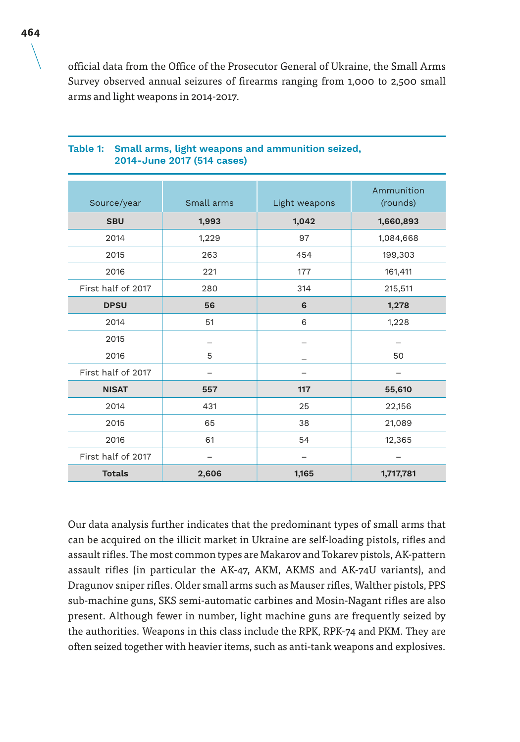official data from the Office of the Prosecutor General of Ukraine, the Small Arms Survey observed annual seizures of firearms ranging from 1,000 to 2,500 small arms and light weapons in 2014-2017.

| Source/year        | Small arms | Light weapons | Ammunition<br>(rounds) |
|--------------------|------------|---------------|------------------------|
| <b>SBU</b>         | 1,993      | 1,042         | 1,660,893              |
| 2014               | 1,229      | 97            | 1,084,668              |
| 2015               | 263        | 454           | 199,303                |
| 2016               | 221        | 177           | 161,411                |
| First half of 2017 | 280        | 314           | 215,511                |
| <b>DPSU</b>        | 56         | 6             | 1,278                  |
| 2014               | 51         | 6             | 1,228                  |
| 2015               |            |               |                        |
| 2016               | 5          |               | 50                     |
| First half of 2017 |            |               |                        |
| <b>NISAT</b>       | 557        | 117           | 55,610                 |
| 2014               | 431        | 25            | 22,156                 |
| 2015               | 65         | 38            | 21,089                 |
| 2016               | 61         | 54            | 12,365                 |
| First half of 2017 |            |               |                        |
| <b>Totals</b>      | 2,606      | 1,165         | 1,717,781              |

#### **Table 1: Small arms, light weapons and ammunition seized, 2014-June 2017 (514 cases)**

Our data analysis further indicates that the predominant types of small arms that can be acquired on the illicit market in Ukraine are self-loading pistols, rifles and assault rifles. The most common types are Makarov and Tokarev pistols, AK-pattern assault rifles (in particular the AK-47, AKM, AKMS and AK-74U variants), and Dragunov sniper rifles. Older small arms such as Mauser rifles, Walther pistols, PPS sub-machine guns, SKS semi-automatic carbines and Mosin-Nagant rifles are also present. Although fewer in number, light machine guns are frequently seized by the authorities. Weapons in this class include the RPK, RPK-74 and PKM. They are often seized together with heavier items, such as anti-tank weapons and explosives.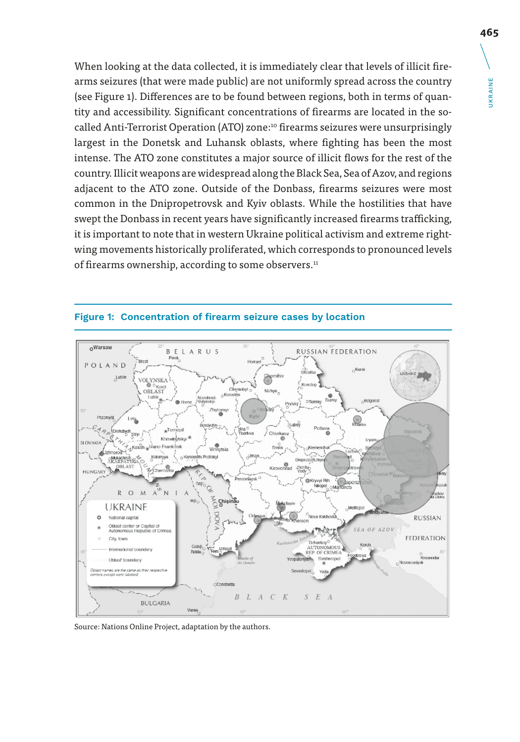When looking at the data collected, it is immediately clear that levels of illicit firearms seizures (that were made public) are not uniformly spread across the country (see Figure 1). Differences are to be found between regions, both in terms of quantity and accessibility. Significant concentrations of firearms are located in the socalled Anti-Terrorist Operation (ATO) zone:10 firearms seizures were unsurprisingly largest in the Donetsk and Luhansk oblasts, where fighting has been the most intense. The ATO zone constitutes a major source of illicit flows for the rest of the country. Illicit weapons are widespread along the Black Sea, Sea of Azov, and regions adjacent to the ATO zone. Outside of the Donbass, firearms seizures were most common in the Dnipropetrovsk and Kyiv oblasts. While the hostilities that have swept the Donbass in recent years have significantly increased firearms trafficking, it is important to note that in western Ukraine political activism and extreme rightwing movements historically proliferated, which corresponds to pronounced levels of firearms ownership, according to some observers.<sup>11</sup>



#### **Figure 1: Concentration of firearm seizure cases by location**

Source: Nations Online Project, adaptation by the authors.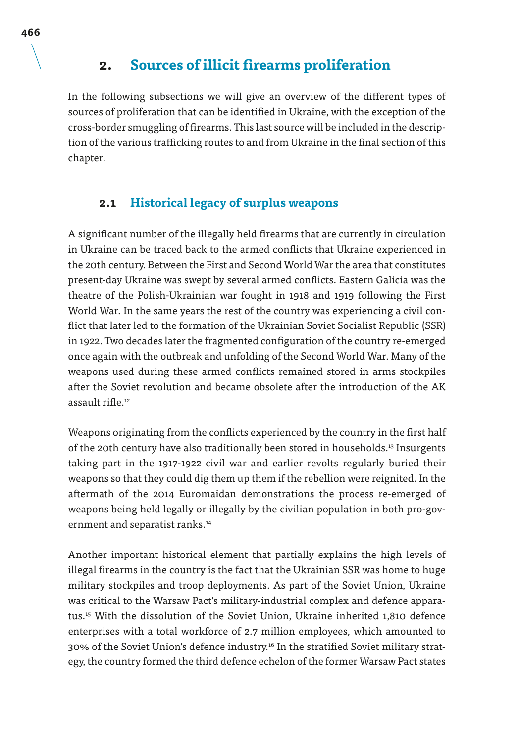# **2. Sources of illicit firearms proliferation**

In the following subsections we will give an overview of the different types of sources of proliferation that can be identified in Ukraine, with the exception of the cross-border smuggling of firearms. This last source will be included in the description of the various trafficking routes to and from Ukraine in the final section of this chapter.

#### **2.1 Historical legacy of surplus weapons**

A significant number of the illegally held firearms that are currently in circulation in Ukraine can be traced back to the armed conflicts that Ukraine experienced in the 20th century. Between the First and Second World War the area that constitutes present-day Ukraine was swept by several armed conflicts. Eastern Galicia was the theatre of the Polish-Ukrainian war fought in 1918 and 1919 following the First World War. In the same years the rest of the country was experiencing a civil conflict that later led to the formation of the Ukrainian Soviet Socialist Republic (SSR) in 1922. Two decades later the fragmented configuration of the country re-emerged once again with the outbreak and unfolding of the Second World War. Many of the weapons used during these armed conflicts remained stored in arms stockpiles after the Soviet revolution and became obsolete after the introduction of the AK assault rifle.12

Weapons originating from the conflicts experienced by the country in the first half of the 20th century have also traditionally been stored in households.13 Insurgents taking part in the 1917-1922 civil war and earlier revolts regularly buried their weapons so that they could dig them up them if the rebellion were reignited. In the aftermath of the 2014 Euromaidan demonstrations the process re-emerged of weapons being held legally or illegally by the civilian population in both pro-government and separatist ranks.14

Another important historical element that partially explains the high levels of illegal firearms in the country is the fact that the Ukrainian SSR was home to huge military stockpiles and troop deployments. As part of the Soviet Union, Ukraine was critical to the Warsaw Pact's military-industrial complex and defence apparatus.15 With the dissolution of the Soviet Union, Ukraine inherited 1,810 defence enterprises with a total workforce of 2.7 million employees, which amounted to 30% of the Soviet Union's defence industry.16 In the stratified Soviet military strategy, the country formed the third defence echelon of the former Warsaw Pact states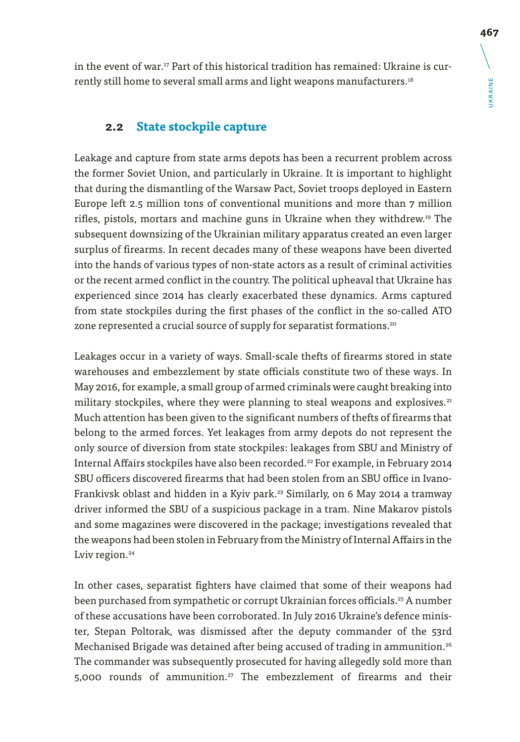in the event of war.17 Part of this historical tradition has remained: Ukraine is currently still home to several small arms and light weapons manufacturers.<sup>18</sup>

# **2.2 State stockpile capture**

Leakage and capture from state arms depots has been a recurrent problem across the former Soviet Union, and particularly in Ukraine. It is important to highlight that during the dismantling of the Warsaw Pact, Soviet troops deployed in Eastern Europe left 2.5 million tons of conventional munitions and more than 7 million rifles, pistols, mortars and machine guns in Ukraine when they withdrew.19 The subsequent downsizing of the Ukrainian military apparatus created an even larger surplus of firearms. In recent decades many of these weapons have been diverted into the hands of various types of non-state actors as a result of criminal activities or the recent armed conflict in the country. The political upheaval that Ukraine has experienced since 2014 has clearly exacerbated these dynamics. Arms captured from state stockpiles during the first phases of the conflict in the so-called ATO zone represented a crucial source of supply for separatist formations.<sup>20</sup>

Leakages occur in a variety of ways. Small-scale thefts of firearms stored in state warehouses and embezzlement by state officials constitute two of these ways. In May 2016, for example, a small group of armed criminals were caught breaking into military stockpiles, where they were planning to steal weapons and explosives.<sup>21</sup> Much attention has been given to the significant numbers of thefts of firearms that belong to the armed forces. Yet leakages from army depots do not represent the only source of diversion from state stockpiles: leakages from SBU and Ministry of Internal Affairs stockpiles have also been recorded.<sup>22</sup> For example, in February 2014 SBU officers discovered firearms that had been stolen from an SBU office in Ivano-Frankivsk oblast and hidden in a Kyiv park.<sup>23</sup> Similarly, on 6 May 2014 a tramway driver informed the SBU of a suspicious package in a tram. Nine Makarov pistols and some magazines were discovered in the package; investigations revealed that the weapons had been stolen in February from the Ministry of Internal Affairs in the Lviv region.<sup>24</sup>

In other cases, separatist fighters have claimed that some of their weapons had been purchased from sympathetic or corrupt Ukrainian forces officials.<sup>25</sup> A number of these accusations have been corroborated. In July 2016 Ukraine's defence minister, Stepan Poltorak, was dismissed after the deputy commander of the 53rd Mechanised Brigade was detained after being accused of trading in ammunition.<sup>26</sup> The commander was subsequently prosecuted for having allegedly sold more than 5,000 rounds of ammunition.<sup>27</sup> The embezzlement of firearms and their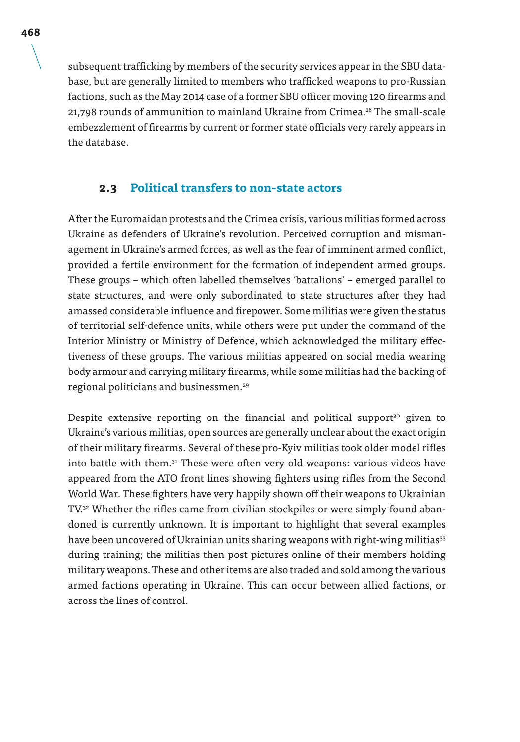subsequent trafficking by members of the security services appear in the SBU database, but are generally limited to members who trafficked weapons to pro-Russian factions, such as the May 2014 case of a former SBU officer moving 120 firearms and 21,798 rounds of ammunition to mainland Ukraine from Crimea.<sup>28</sup> The small-scale embezzlement of firearms by current or former state officials very rarely appears in the database.

#### **2.3 Political transfers to non-state actors**

After the Euromaidan protests and the Crimea crisis, various militias formed across Ukraine as defenders of Ukraine's revolution. Perceived corruption and mismanagement in Ukraine's armed forces, as well as the fear of imminent armed conflict, provided a fertile environment for the formation of independent armed groups. These groups – which often labelled themselves 'battalions' – emerged parallel to state structures, and were only subordinated to state structures after they had amassed considerable influence and firepower. Some militias were given the status of territorial self-defence units, while others were put under the command of the Interior Ministry or Ministry of Defence, which acknowledged the military effectiveness of these groups. The various militias appeared on social media wearing body armour and carrying military firearms, while some militias had the backing of regional politicians and businessmen.29

Despite extensive reporting on the financial and political support<sup>30</sup> given to Ukraine's various militias, open sources are generally unclear about the exact origin of their military firearms. Several of these pro-Kyiv militias took older model rifles into battle with them.<sup>31</sup> These were often very old weapons: various videos have appeared from the ATO front lines showing fighters using rifles from the Second World War. These fighters have very happily shown off their weapons to Ukrainian TV.<sup>32</sup> Whether the rifles came from civilian stockpiles or were simply found abandoned is currently unknown. It is important to highlight that several examples have been uncovered of Ukrainian units sharing weapons with right-wing militias<sup>33</sup> during training; the militias then post pictures online of their members holding military weapons. These and other items are also traded and sold among the various armed factions operating in Ukraine. This can occur between allied factions, or across the lines of control.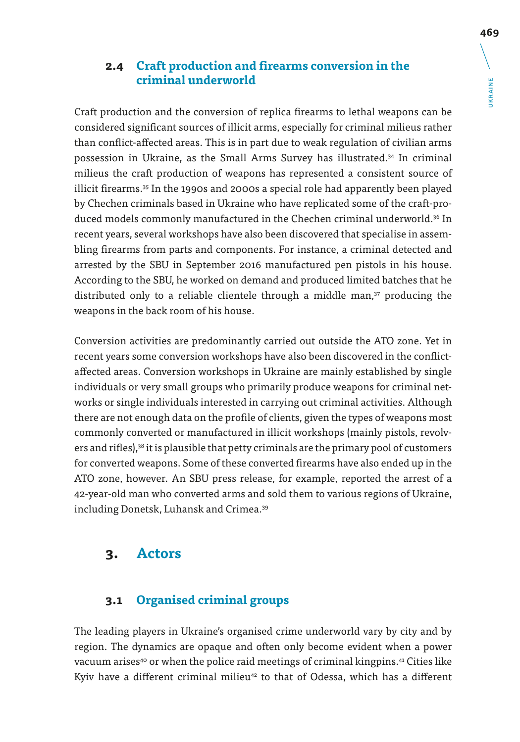## **2.4 Craft production and firearms conversion in the criminal underworld**

Craft production and the conversion of replica firearms to lethal weapons can be considered significant sources of illicit arms, especially for criminal milieus rather than conflict-affected areas. This is in part due to weak regulation of civilian arms possession in Ukraine, as the Small Arms Survey has illustrated.<sup>34</sup> In criminal milieus the craft production of weapons has represented a consistent source of illicit firearms.35 In the 1990s and 2000s a special role had apparently been played by Chechen criminals based in Ukraine who have replicated some of the craft-produced models commonly manufactured in the Chechen criminal underworld.36 In recent years, several workshops have also been discovered that specialise in assembling firearms from parts and components. For instance, a criminal detected and arrested by the SBU in September 2016 manufactured pen pistols in his house. According to the SBU, he worked on demand and produced limited batches that he distributed only to a reliable clientele through a middle man,<sup>37</sup> producing the weapons in the back room of his house.

Conversion activities are predominantly carried out outside the ATO zone. Yet in recent years some conversion workshops have also been discovered in the conflictaffected areas. Conversion workshops in Ukraine are mainly established by single individuals or very small groups who primarily produce weapons for criminal networks or single individuals interested in carrying out criminal activities. Although there are not enough data on the profile of clients, given the types of weapons most commonly converted or manufactured in illicit workshops (mainly pistols, revolvers and rifles),<sup>38</sup> it is plausible that petty criminals are the primary pool of customers for converted weapons. Some of these converted firearms have also ended up in the ATO zone, however. An SBU press release, for example, reported the arrest of a 42-year-old man who converted arms and sold them to various regions of Ukraine, including Donetsk, Luhansk and Crimea.<sup>39</sup>

# **3. Actors**

# **3.1 Organised criminal groups**

The leading players in Ukraine's organised crime underworld vary by city and by region. The dynamics are opaque and often only become evident when a power vacuum arises<sup>40</sup> or when the police raid meetings of criminal kingpins.<sup>41</sup> Cities like Kyiv have a different criminal milieu<sup>42</sup> to that of Odessa, which has a different UKRAINE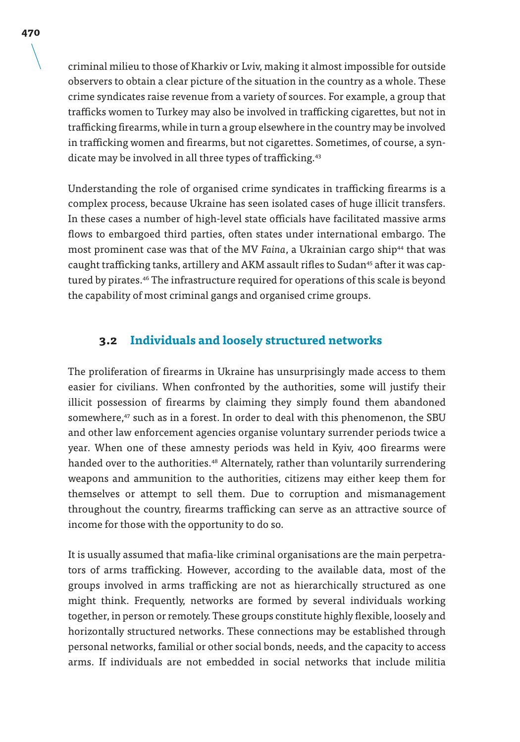criminal milieu to those of Kharkiv or Lviv, making it almost impossible for outside observers to obtain a clear picture of the situation in the country as a whole. These crime syndicates raise revenue from a variety of sources. For example, a group that trafficks women to Turkey may also be involved in trafficking cigarettes, but not in trafficking firearms, while in turn a group elsewhere in the country may be involved in trafficking women and firearms, but not cigarettes. Sometimes, of course, a syndicate may be involved in all three types of trafficking.<sup>43</sup>

Understanding the role of organised crime syndicates in trafficking firearms is a complex process, because Ukraine has seen isolated cases of huge illicit transfers. In these cases a number of high-level state officials have facilitated massive arms flows to embargoed third parties, often states under international embargo. The most prominent case was that of the MV *Faina*, a Ukrainian cargo ship44 that was caught trafficking tanks, artillery and AKM assault rifles to Sudan<sup>45</sup> after it was captured by pirates.46 The infrastructure required for operations of this scale is beyond the capability of most criminal gangs and organised crime groups.

#### **3.2 Individuals and loosely structured networks**

The proliferation of firearms in Ukraine has unsurprisingly made access to them easier for civilians. When confronted by the authorities, some will justify their illicit possession of firearms by claiming they simply found them abandoned somewhere,<sup>47</sup> such as in a forest. In order to deal with this phenomenon, the SBU and other law enforcement agencies organise voluntary surrender periods twice a year. When one of these amnesty periods was held in Kyiv, 400 firearms were handed over to the authorities.<sup>48</sup> Alternately, rather than voluntarily surrendering weapons and ammunition to the authorities, citizens may either keep them for themselves or attempt to sell them. Due to corruption and mismanagement throughout the country, firearms trafficking can serve as an attractive source of income for those with the opportunity to do so.

It is usually assumed that mafia-like criminal organisations are the main perpetrators of arms trafficking. However, according to the available data, most of the groups involved in arms trafficking are not as hierarchically structured as one might think. Frequently, networks are formed by several individuals working together, in person or remotely. These groups constitute highly flexible, loosely and horizontally structured networks. These connections may be established through personal networks, familial or other social bonds, needs, and the capacity to access arms. If individuals are not embedded in social networks that include militia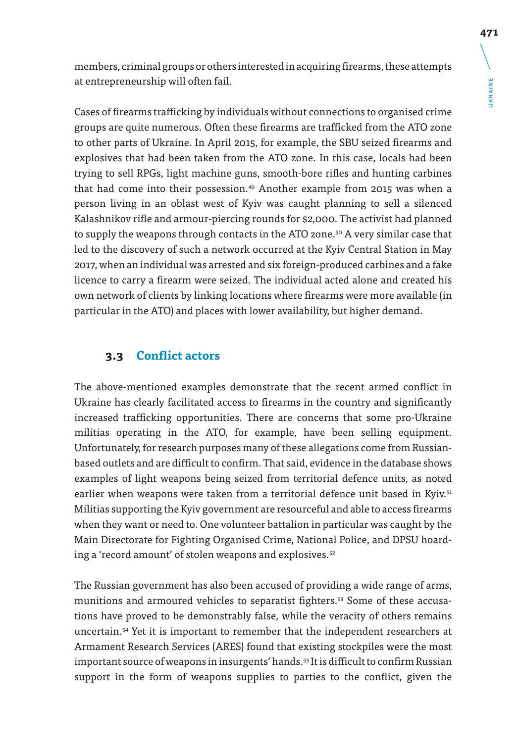*JKRAINE* UKRAINE

members, criminal groups or others interested in acquiring firearms, these attempts at entrepreneurship will often fail.

Cases of firearms trafficking by individuals without connections to organised crime groups are quite numerous. Often these firearms are trafficked from the ATO zone to other parts of Ukraine. In April 2015, for example, the SBU seized firearms and explosives that had been taken from the ATO zone. In this case, locals had been trying to sell RPGs, light machine guns, smooth-bore rifles and hunting carbines that had come into their possession.49 Another example from 2015 was when a person living in an oblast west of Kyiv was caught planning to sell a silenced Kalashnikov rifle and armour-piercing rounds for \$2,000. The activist had planned to supply the weapons through contacts in the ATO zone.<sup>50</sup> A very similar case that led to the discovery of such a network occurred at the Kyiv Central Station in May 2017, when an individual was arrested and six foreign-produced carbines and a fake licence to carry a firearm were seized. The individual acted alone and created his own network of clients by linking locations where firearms were more available (in particular in the ATO) and places with lower availability, but higher demand.

#### **3.3 Conflict actors**

The above-mentioned examples demonstrate that the recent armed conflict in Ukraine has clearly facilitated access to firearms in the country and significantly increased trafficking opportunities. There are concerns that some pro-Ukraine militias operating in the ATO, for example, have been selling equipment. Unfortunately, for research purposes many of these allegations come from Russianbased outlets and are difficult to confirm. That said, evidence in the database shows examples of light weapons being seized from territorial defence units, as noted earlier when weapons were taken from a territorial defence unit based in Kyiv.<sup>51</sup> Militias supporting the Kyiv government are resourceful and able to access firearms when they want or need to. One volunteer battalion in particular was caught by the Main Directorate for Fighting Organised Crime, National Police, and DPSU hoarding a 'record amount' of stolen weapons and explosives.<sup>52</sup>

The Russian government has also been accused of providing a wide range of arms, munitions and armoured vehicles to separatist fighters.<sup>53</sup> Some of these accusations have proved to be demonstrably false, while the veracity of others remains uncertain.54 Yet it is important to remember that the independent researchers at Armament Research Services (ARES) found that existing stockpiles were the most important source of weapons in insurgents' hands.<sup>55</sup> It is difficult to confirm Russian support in the form of weapons supplies to parties to the conflict, given the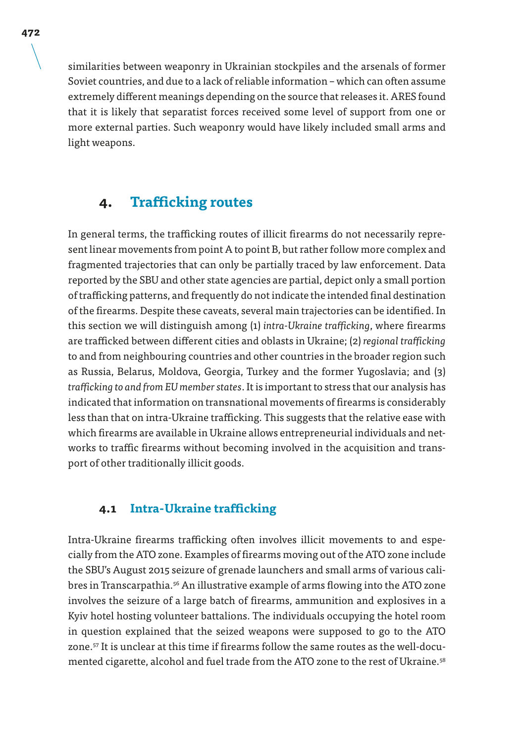similarities between weaponry in Ukrainian stockpiles and the arsenals of former Soviet countries, and due to a lack of reliable information – which can often assume extremely different meanings depending on the source that releases it. ARES found that it is likely that separatist forces received some level of support from one or more external parties. Such weaponry would have likely included small arms and light weapons.

# **4. Trafficking routes**

In general terms, the trafficking routes of illicit firearms do not necessarily represent linear movements from point A to point B, but rather follow more complex and fragmented trajectories that can only be partially traced by law enforcement. Data reported by the SBU and other state agencies are partial, depict only a small portion of trafficking patterns, and frequently do not indicate the intended final destination of the firearms. Despite these caveats, several main trajectories can be identified. In this section we will distinguish among (1) *intra-Ukraine trafficking*, where firearms are trafficked between different cities and oblasts in Ukraine; (2) *regional trafficking* to and from neighbouring countries and other countries in the broader region such as Russia, Belarus, Moldova, Georgia, Turkey and the former Yugoslavia; and (3) *trafficking to and from EU member states*. It is important to stress that our analysis has indicated that information on transnational movements of firearms is considerably less than that on intra-Ukraine trafficking. This suggests that the relative ease with which firearms are available in Ukraine allows entrepreneurial individuals and networks to traffic firearms without becoming involved in the acquisition and transport of other traditionally illicit goods.

## **4.1 Intra-Ukraine trafficking**

Intra-Ukraine firearms trafficking often involves illicit movements to and especially from the ATO zone. Examples of firearms moving out of the ATO zone include the SBU's August 2015 seizure of grenade launchers and small arms of various calibres in Transcarpathia.<sup>56</sup> An illustrative example of arms flowing into the ATO zone involves the seizure of a large batch of firearms, ammunition and explosives in a Kyiv hotel hosting volunteer battalions. The individuals occupying the hotel room in question explained that the seized weapons were supposed to go to the ATO zone.57 It is unclear at this time if firearms follow the same routes as the well-documented cigarette, alcohol and fuel trade from the ATO zone to the rest of Ukraine.58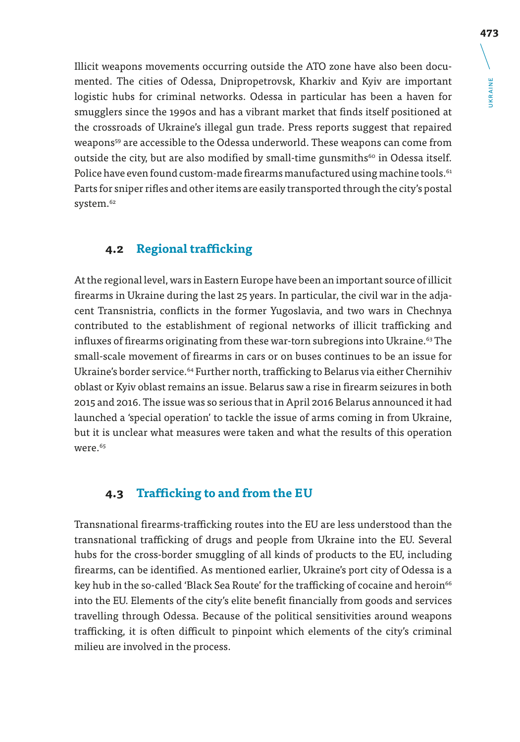Illicit weapons movements occurring outside the ATO zone have also been documented. The cities of Odessa, Dnipropetrovsk, Kharkiv and Kyiv are important logistic hubs for criminal networks. Odessa in particular has been a haven for smugglers since the 1990s and has a vibrant market that finds itself positioned at the crossroads of Ukraine's illegal gun trade. Press reports suggest that repaired weapons<sup>59</sup> are accessible to the Odessa underworld. These weapons can come from outside the city, but are also modified by small-time gunsmiths $60$  in Odessa itself. Police have even found custom-made firearms manufactured using machine tools.<sup>61</sup> Parts for sniper rifles and other items are easily transported through the city's postal system.<sup>62</sup>

## **4.2 Regional trafficking**

At the regional level, wars in Eastern Europe have been an important source of illicit firearms in Ukraine during the last 25 years. In particular, the civil war in the adjacent Transnistria, conflicts in the former Yugoslavia, and two wars in Chechnya contributed to the establishment of regional networks of illicit trafficking and influxes of firearms originating from these war-torn subregions into Ukraine.<sup>63</sup> The small-scale movement of firearms in cars or on buses continues to be an issue for Ukraine's border service.<sup>64</sup> Further north, trafficking to Belarus via either Chernihiv oblast or Kyiv oblast remains an issue. Belarus saw a rise in firearm seizures in both 2015 and 2016. The issue was so serious that in April 2016 Belarus announced it had launched a 'special operation' to tackle the issue of arms coming in from Ukraine, but it is unclear what measures were taken and what the results of this operation were.65

### **4.3 Trafficking to and from the EU**

Transnational firearms-trafficking routes into the EU are less understood than the transnational trafficking of drugs and people from Ukraine into the EU. Several hubs for the cross-border smuggling of all kinds of products to the EU, including firearms, can be identified. As mentioned earlier, Ukraine's port city of Odessa is a key hub in the so-called 'Black Sea Route' for the trafficking of cocaine and heroin<sup>66</sup> into the EU. Elements of the city's elite benefit financially from goods and services travelling through Odessa. Because of the political sensitivities around weapons trafficking, it is often difficult to pinpoint which elements of the city's criminal milieu are involved in the process.

UKRAINE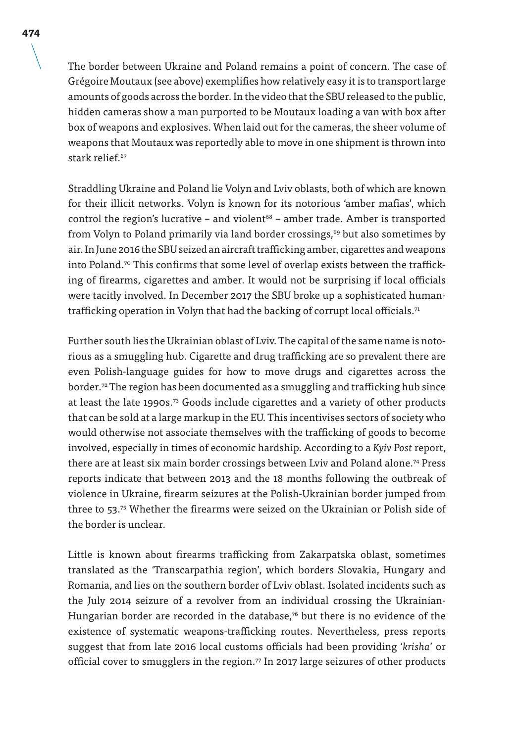The border between Ukraine and Poland remains a point of concern. The case of Grégoire Moutaux (see above) exemplifies how relatively easy it is to transport large amounts of goods across the border. In the video that the SBU released to the public, hidden cameras show a man purported to be Moutaux loading a van with box after box of weapons and explosives. When laid out for the cameras, the sheer volume of weapons that Moutaux was reportedly able to move in one shipment is thrown into stark relief.<sup>67</sup>

Straddling Ukraine and Poland lie Volyn and Lviv oblasts, both of which are known for their illicit networks. Volyn is known for its notorious 'amber mafias', which control the region's lucrative – and violent $68$  – amber trade. Amber is transported from Volyn to Poland primarily via land border crossings,<sup>69</sup> but also sometimes by air. In June 2016 the SBU seized an aircraft trafficking amber, cigarettes and weapons into Poland.<sup>70</sup> This confirms that some level of overlap exists between the trafficking of firearms, cigarettes and amber. It would not be surprising if local officials were tacitly involved. In December 2017 the SBU broke up a sophisticated humantrafficking operation in Volyn that had the backing of corrupt local officials.<sup>71</sup>

Further south lies the Ukrainian oblast of Lviv. The capital of the same name is notorious as a smuggling hub. Cigarette and drug trafficking are so prevalent there are even Polish-language guides for how to move drugs and cigarettes across the border.72 The region has been documented as a smuggling and trafficking hub since at least the late 1990s.<sup>73</sup> Goods include cigarettes and a variety of other products that can be sold at a large markup in the EU. This incentivises sectors of society who would otherwise not associate themselves with the trafficking of goods to become involved, especially in times of economic hardship. According to a *Kyiv Post* report, there are at least six main border crossings between Lviv and Poland alone.<sup>74</sup> Press reports indicate that between 2013 and the 18 months following the outbreak of violence in Ukraine, firearm seizures at the Polish-Ukrainian border jumped from three to 53.<sup>75</sup> Whether the firearms were seized on the Ukrainian or Polish side of the border is unclear.

Little is known about firearms trafficking from Zakarpatska oblast, sometimes translated as the 'Transcarpathia region', which borders Slovakia, Hungary and Romania, and lies on the southern border of Lviv oblast. Isolated incidents such as the July 2014 seizure of a revolver from an individual crossing the Ukrainian-Hungarian border are recorded in the database, $76$  but there is no evidence of the existence of systematic weapons-trafficking routes. Nevertheless, press reports suggest that from late 2016 local customs officials had been providing '*krisha*' or official cover to smugglers in the region.<sup>77</sup> In 2017 large seizures of other products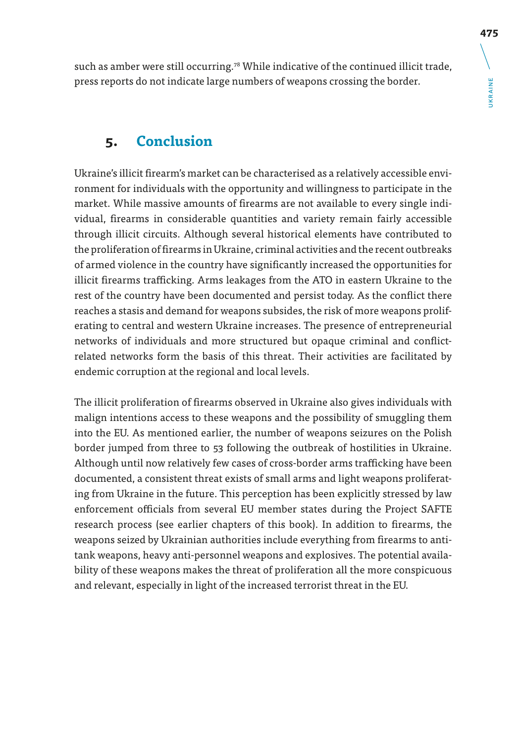such as amber were still occurring.<sup>78</sup> While indicative of the continued illicit trade, press reports do not indicate large numbers of weapons crossing the border.

# **5. Conclusion**

Ukraine's illicit firearm's market can be characterised as a relatively accessible environment for individuals with the opportunity and willingness to participate in the market. While massive amounts of firearms are not available to every single individual, firearms in considerable quantities and variety remain fairly accessible through illicit circuits. Although several historical elements have contributed to the proliferation of firearms in Ukraine, criminal activities and the recent outbreaks of armed violence in the country have significantly increased the opportunities for illicit firearms trafficking. Arms leakages from the ATO in eastern Ukraine to the rest of the country have been documented and persist today. As the conflict there reaches a stasis and demand for weapons subsides, the risk of more weapons proliferating to central and western Ukraine increases. The presence of entrepreneurial networks of individuals and more structured but opaque criminal and conflictrelated networks form the basis of this threat. Their activities are facilitated by endemic corruption at the regional and local levels.

The illicit proliferation of firearms observed in Ukraine also gives individuals with malign intentions access to these weapons and the possibility of smuggling them into the EU. As mentioned earlier, the number of weapons seizures on the Polish border jumped from three to 53 following the outbreak of hostilities in Ukraine. Although until now relatively few cases of cross-border arms trafficking have been documented, a consistent threat exists of small arms and light weapons proliferating from Ukraine in the future. This perception has been explicitly stressed by law enforcement officials from several EU member states during the Project SAFTE research process (see earlier chapters of this book). In addition to firearms, the weapons seized by Ukrainian authorities include everything from firearms to antitank weapons, heavy anti-personnel weapons and explosives. The potential availability of these weapons makes the threat of proliferation all the more conspicuous and relevant, especially in light of the increased terrorist threat in the EU.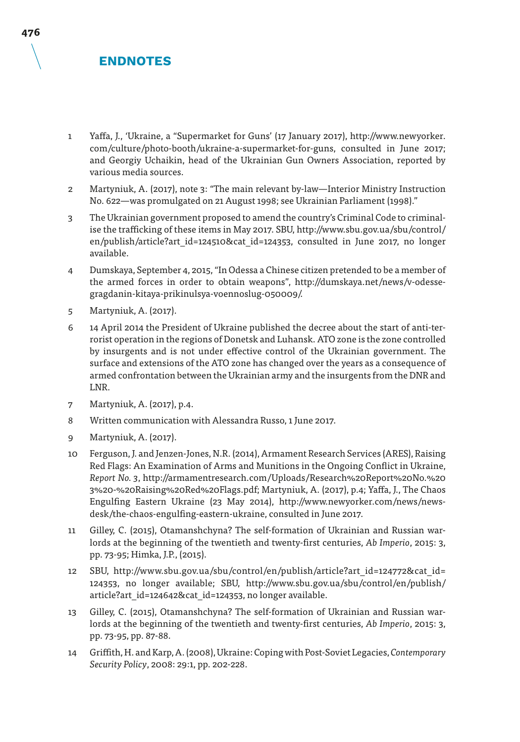# **ENDNOTES**

- 1 Yaffa, J., 'Ukraine, a "Supermarket for Guns' (17 January 2017), http://www.newyorker. com/culture/photo-booth/ukraine-a-supermarket-for-guns, consulted in June 2017; and Georgiy Uchaikin, head of the Ukrainian Gun Owners Association, reported by various media sources.
- 2 Martyniuk, A. (2017), note 3: "The main relevant by-law—Interior Ministry Instruction No. 622—was promulgated on 21 August 1998; see Ukrainian Parliament (1998)."
- 3 The Ukrainian government proposed to amend the country's Criminal Code to criminalise the trafficking of these items in May 2017. SBU, http://www.sbu.gov.ua/sbu/control/ en/publish/article?art id=124510&cat id=124353, consulted in June 2017, no longer available.
- 4 Dumskaya, September 4, 2015, "In Odessa a Chinese citizen pretended to be a member of the armed forces in order to obtain weapons", http://dumskaya.net/news/v-odessegragdanin-kitaya-prikinulsya-voennoslug-050009/.
- 5 Martyniuk, A. (2017).
- 6 14 April 2014 the President of Ukraine published the decree about the start of anti-terrorist operation in the regions of Donetsk and Luhansk. ATO zone is the zone controlled by insurgents and is not under effective control of the Ukrainian government. The surface and extensions of the ATO zone has changed over the years as a consequence of armed confrontation between the Ukrainian army and the insurgents from the DNR and LNR.
- 7 Martyniuk, A. (2017), p.4.
- 8 Written communication with Alessandra Russo, 1 June 2017.
- 9 Martyniuk, A. (2017).
- 10 Ferguson, J. and Jenzen-Jones, N.R. (2014), Armament Research Services (ARES), Raising Red Flags: An Examination of Arms and Munitions in the Ongoing Conflict in Ukraine, *Report No. 3*, http://armamentresearch.com/Uploads/Research%20Report%20No.%20 3%20-%20Raising%20Red%20Flags.pdf; Martyniuk, A. (2017), p.4; Yaffa, J., The Chaos Engulfing Eastern Ukraine (23 May 2014), http://www.newyorker.com/news/newsdesk/the-chaos-engulfing-eastern-ukraine, consulted in June 2017.
- 11 Gilley, C. (2015), Otamanshchyna? The self-formation of Ukrainian and Russian warlords at the beginning of the twentieth and twenty-first centuries, *Ab Imperio*, 2015: 3, pp. 73-95; Himka, J.P., (2015).
- 12 SBU, http://www.sbu.gov.ua/sbu/control/en/publish/article?art\_id=124772&cat\_id= 124353, no longer available; SBU, http://www.sbu.gov.ua/sbu/control/en/publish/ article?art\_id=124642&cat\_id=124353, no longer available.
- 13 Gilley, C. (2015), Otamanshchyna? The self-formation of Ukrainian and Russian warlords at the beginning of the twentieth and twenty-first centuries, *Ab Imperio*, 2015: 3, pp. 73-95, pp. 87-88.
- 14 Griffith, H. and Karp, A. (2008), Ukraine: Coping with Post-Soviet Legacies, *Contemporary Security Policy*, 2008: 29:1, pp. 202-228.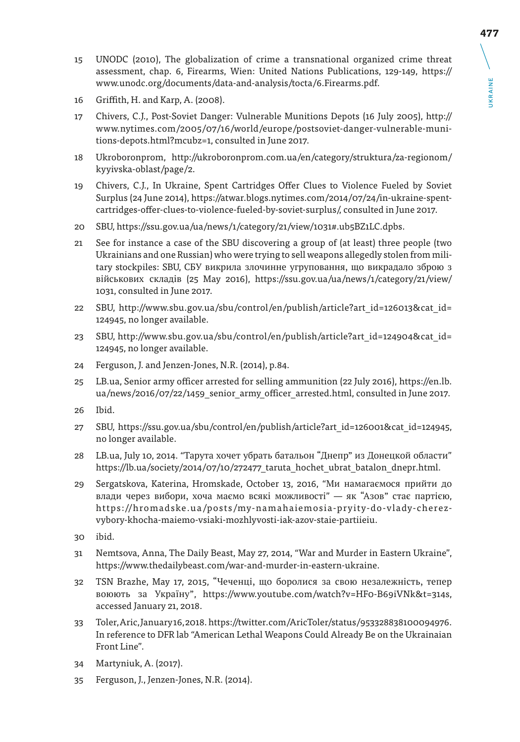- 15 UNODC (2010), The globalization of crime a transnational organized crime threat assessment, chap. 6, Firearms, Wien: United Nations Publications, 129-149, https:// www.unodc.org/documents/data-and-analysis/tocta/6.Firearms.pdf.
- 16 Griffith, H. and Karp, A. (2008).
- 17 Chivers, C.J., Post-Soviet Danger: Vulnerable Munitions Depots (16 July 2005), http:// www.nytimes.com/2005/07/16/world/europe/postsoviet-danger-vulnerable-munitions-depots.html?mcubz=1, consulted in June 2017.
- 18 Ukroboronprom, http://ukroboronprom.com.ua/en/category/struktura/za-regionom/ kyyivska-oblast/page/2.
- 19 Chivers, C.J., In Ukraine, Spent Cartridges Offer Clues to Violence Fueled by Soviet Surplus (24 June 2014), https://atwar.blogs.nytimes.com/2014/07/24/in-ukraine-spentcartridges-offer-clues-to-violence-fueled-by-soviet-surplus/, consulted in June 2017.
- 20 SBU, https://ssu.gov.ua/ua/news/1/category/21/view/1031#.ub5BZ1LC.dpbs.
- 21 See for instance a case of the SBU discovering a group of (at least) three people (two Ukrainians and one Russian) who were trying to sell weapons allegedly stolen from military stockpiles: SBU, СБУ викрила злочинне угруповання, що викрадало зброю з військових складів (25 May 2016), https://ssu.gov.ua/ua/news/1/category/21/view/ 1031, consulted in June 2017.
- 22 SBU, http://www.sbu.gov.ua/sbu/control/en/publish/article?art\_id=126013&cat\_id= 124945, no longer available.
- 23 SBU, http://www.sbu.gov.ua/sbu/control/en/publish/article?art\_id=124904&cat\_id= 124945, no longer available.
- 24 Ferguson, J. and Jenzen-Jones, N.R. (2014), p.84.
- 25 LB.ua, Senior army officer arrested for selling ammunition (22 July 2016), https://en.lb. ua/news/2016/07/22/1459\_senior\_army\_officer\_arrested.html, consulted in June 2017.
- 26 Ibid.
- 27 SBU, https://ssu.gov.ua/sbu/control/en/publish/article?art\_id=126001&cat\_id=124945, no longer available.
- 28 LB.ua, July 10, 2014. "Тарута хочет убрать батальон "Днепр" из Донецкой области" https://lb.ua/society/2014/07/10/272477\_taruta\_hochet\_ubrat\_batalon\_dnepr.html.
- 29 Sergatskova, Katerina, Hromskade, October 13, 2016, "Ми намагаємося прийти до влади через вибори, хоча маємо всякі можливості" — як "Азов" стає партією, https://hromadske.ua/posts/my-namahaiemosia-pryity-do-vlady-cherezvybory-khocha-maiemo-vsiaki-mozhlyvosti-iak-azov-staie-partiieiu.
- 30 ibid.
- 31 Nemtsova, Anna, The Daily Beast, May 27, 2014, "War and Murder in Eastern Ukraine", https://www.thedailybeast.com/war-and-murder-in-eastern-ukraine.
- 32 TSN Brazhe, May 17, 2015, "Чеченці, що боролися за свою незалежність, тепер воюють за Україну", https://www.youtube.com/watch?v=HF0-B69iVNk&t=314s, accessed January 21, 2018.
- 33 Toler, Aric, January 16, 2018. https://twitter.com/AricToler/status/953328838100094976. In reference to DFR lab "American Lethal Weapons Could Already Be on the Ukrainaian Front Line".
- 34 Martyniuk, A. (2017).
- 35 Ferguson, J., Jenzen-Jones, N.R. (2014).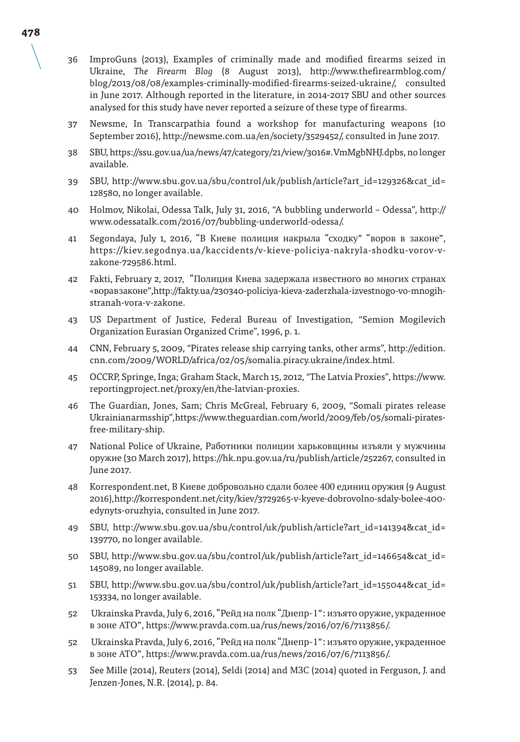- 36 ImproGuns (2013), Examples of criminally made and modified firearms seized in Ukraine, *The Firearm Blog* (8 August 2013), http://www.thefirearmblog.com/ blog/2013/08/08/examples-criminally-modified-firearms-seized-ukraine/, consulted in June 2017. Although reported in the literature, in 2014-2017 SBU and other sources analysed for this study have never reported a seizure of these type of firearms.
- 37 Newsme, In Transcarpathia found a workshop for manufacturing weapons (10 September 2016), http://newsme.com.ua/en/society/3529452/, consulted in June 2017.
- 38 SBU, https://ssu.gov.ua/ua/news/47/category/21/view/3016#.VmMgbNHJ.dpbs, no longer available.
- 39 SBU, http://www.sbu.gov.ua/sbu/control/uk/publish/article?art\_id=129326&cat\_id= 128580, no longer available.
- 40 Holmov, Nikolai, Odessa Talk, July 31, 2016, "A bubbling underworld Odessa", http:// www.odessatalk.com/2016/07/bubbling-underworld-odessa/.
- 41 Segondaya, July 1, 2016, "В Киеве полиция накрыла "сходку" "воров в законе", https://kiev.segodnya.ua/kaccidents/v-kieve-policiya-nakryla-shodku-vorov-vzakone-729586.html.
- 42 Fakti, February 2, 2017, "Полиция Киева задержала известного во многих странах «ворав законе", http://fakty.ua/230340-policiya-kieva-zaderzhala-izvestnogo-vo-mnogihstranah-vora-v-zakone.
- 43 US Department of Justice, Federal Bureau of Investigation, "Semion Mogilevich Organization Eurasian Organized Crime", 1996, p. 1.
- 44 CNN, February 5, 2009, "Pirates release ship carrying tanks, other arms", http://edition. cnn.com/2009/WORLD/africa/02/05/somalia.piracy.ukraine/index.html.
- 45 OCCRP, Springe, Inga; Graham Stack, March 15, 2012, "The Latvia Proxies", https://www. reportingproject.net/proxy/en/the-latvian-proxies.
- 46 The Guardian, Jones, Sam; Chris McGreal, February 6, 2009, "Somali pirates release Ukrainian arms ship", https://www.theguardian.com/world/2009/feb/05/somali-piratesfree-military-ship.
- 47 National Police of Ukraine, Работники полиции харьковщины изъяли у мужчины оружие (30 March 2017), https://hk.npu.gov.ua/ru/publish/article/252267, consulted in June 2017.
- 48 Korrespondent.net, В Киеве добровольно сдали более 400 единиц оружия (9 August 2016), http://korrespondent.net/city/kiev/3729265-v-kyeve-dobrovolno-sdaly-bolee-400 edynyts-oruzhyia, consulted in June 2017.
- 49 SBU, http://www.sbu.gov.ua/sbu/control/uk/publish/article?art\_id=141394&cat\_id= 139770, no longer available.
- 50 SBU, http://www.sbu.gov.ua/sbu/control/uk/publish/article?art\_id=146654&cat\_id= 145089, no longer available.
- 51 SBU, http://www.sbu.gov.ua/sbu/control/uk/publish/article?art\_id=155044&cat\_id= 153334, no longer available.
- 52 Ukrainska Pravda, July 6, 2016, "Рейд на полк "Днепр-1": изъято оружие, украденное в зоне АТО", https://www.pravda.com.ua/rus/news/2016/07/6/7113856/.
- 52 Ukrainska Pravda, July 6, 2016, "Рейд на полк "Днепр-1": изъято оружие, украденное в зоне АТО", https://www.pravda.com.ua/rus/news/2016/07/6/7113856/.
- 53 See Mille (2014), Reuters (2014), Seldi (2014) and МЗС (2014) quoted in Ferguson, J. and Jenzen-Jones, N.R. (2014), p. 84.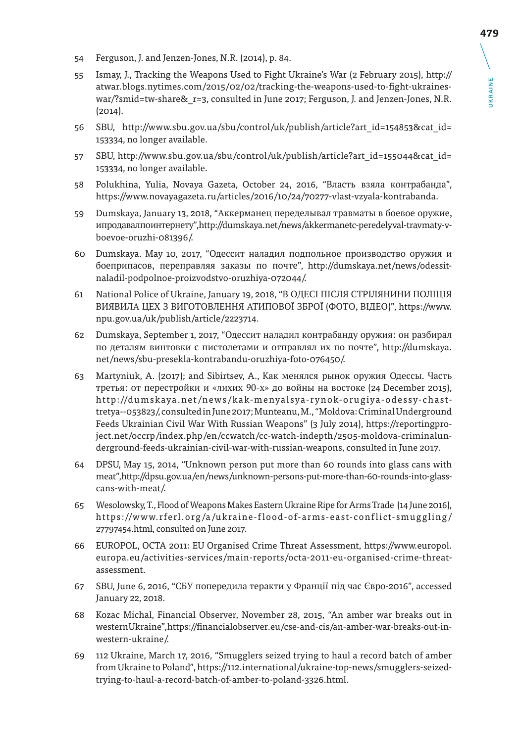- 54 Ferguson, J. and Jenzen-Jones, N.R. (2014), p. 84.
- 55 Ismay, J., Tracking the Weapons Used to Fight Ukraine's War (2 February 2015), http:// atwar.blogs.nytimes.com/2015/02/02/tracking-the-weapons-used-to-fight-ukraineswar/?smid=tw-share& r=3, consulted in June 2017; Ferguson, J. and Jenzen-Jones, N.R.  $(2014)$ .
- 56 SBU, http://www.sbu.gov.ua/sbu/control/uk/publish/article?art\_id=154853&cat\_id= 153334, no longer available.
- 57 SBU, http://www.sbu.gov.ua/sbu/control/uk/publish/article?art\_id=155044&cat\_id= 153334, no longer available.
- 58 Polukhina, Yulia, Novaya Gazeta, October 24, 2016, "Власть взяла контрабанда", https://www.novayagazeta.ru/articles/2016/10/24/70277-vlast-vzyala-kontrabanda.
- 59 Dumskaya, January 13, 2018, "Аккерманец переделывал травматы в боевое оружие, и продавал по интернету", http://dumskaya.net/news/akkermanetc-peredelyval-travmaty-vboevoe-oruzhi-081396/.
- 60 Dumskaya. May 10, 2017, "Одессит наладил подпольное производство оружия и боеприпасов, переправляя заказы по почте", http://dumskaya.net/news/odessitnaladil-podpolnoe-proizvodstvo-oruzhiya-072044/.
- 61 National Police of Ukraine, January 19, 2018, "В ОДЕСІ ПІСЛЯ СТРІЛЯНИНИ ПОЛІЦІЯ ВИЯВИЛА ЦЕХ З ВИГОТОВЛЕННЯ АТИПОВОЇ ЗБРОЇ (ФОТО, ВІДЕО)", https://www. npu.gov.ua/uk/publish/article/2223714.
- 62 Dumskaya, September 1, 2017, "Одессит наладил контрабанду оружия: он разбирал по деталям винтовки с пистолетами и отправлял их по почте", http://dumskaya. net/news/sbu-presekla-kontrabandu-oruzhiya-foto-076450/.
- 63 Martyniuk, A. (2017); and Sibirtsev, A., Как менялся рынок оружия Одессы. Часть третья: от перестройки и «лихих 90-х» до войны на востоке (24 December 2015), http://dumskaya.net/news/kak-menyalsya-rynok-orugiya-odessy-chasttretya--053823/, consulted in June 2017; Munteanu, M., "Moldova: Criminal Underground Feeds Ukrainian Civil War With Russian Weapons" (3 July 2014), https://reportingproject.net/occrp/index.php/en/ccwatch/cc-watch-indepth/2505-moldova-criminalunderground-feeds-ukrainian-civil-war-with-russian-weapons, consulted in June 2017.
- 64 DPSU, May 15, 2014, "Unknown person put more than 60 rounds into glass cans with meat", http://dpsu.gov.ua/en/news/unknown-persons-put-more-than-60-rounds-into-glasscans-with-meat/.
- 65 Wesolowsky, T., Flood of Weapons Makes Eastern Ukraine Ripe for Arms Trade (14 June 2016), https://www.rferl.org/a/ukraine-flood-of-arms-east-conflict-smuggling/ 27797454.html, consulted on June 2017.
- 66 EUROPOL, OCTA 2011: EU Organised Crime Threat Assessment, https://www.europol. europa.eu/activities-services/main-reports/octa-2011-eu-organised-crime-threatassessment.
- 67 SBU, June 6, 2016, "СБУ попередила теракти у Франції під час Євро-2016", accessed January 22, 2018.
- 68 Kozac Michal, Financial Observer, November 28, 2015, "An amber war breaks out in western Ukraine", https://financialobserver.eu/cse-and-cis/an-amber-war-breaks-out-inwestern-ukraine/.
- 69 112 Ukraine, March 17, 2016, "Smugglers seized trying to haul a record batch of amber from Ukraine to Poland", https://112.international/ukraine-top-news/smugglers-seizedtrying-to-haul-a-record-batch-of-amber-to-poland-3326.html.